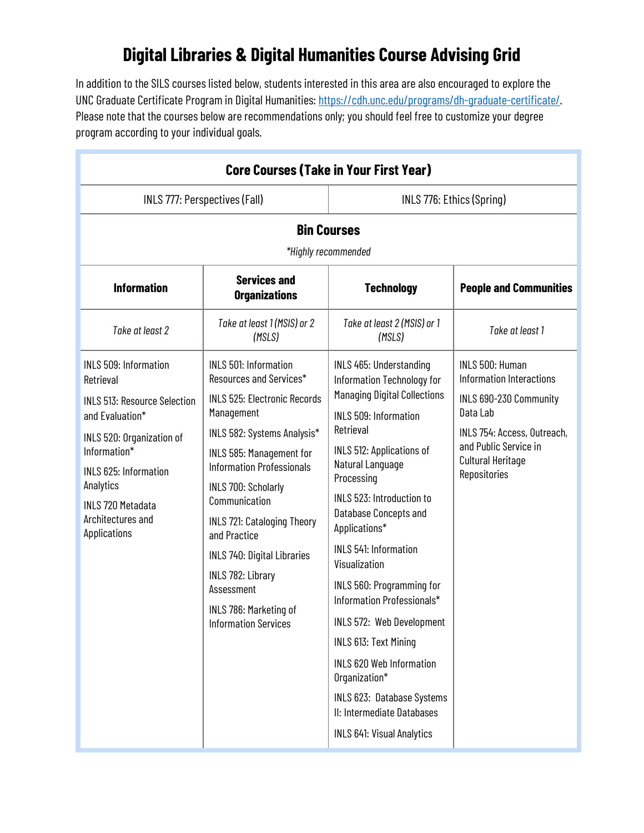## **Digital Libraries & Digital Humanities Course Advising Grid**

In addition to the SILS courses listed below, students interested in this area are also encouraged to explore the UNC Graduate Certificate Program in Digital Humanities: [https://cdh.unc.edu/programs/dh-graduate-certificate/.](https://cdh.unc.edu/programs/dh-graduate-certificate/)  Please note that the courses below are recommendations only; you should feel free to customize your degree program according to your individual goals.

| <b>Core Courses (Take in Your First Year)</b>                                                                                                                                                                                                                  |                                                                                                                                                                                                                                                                                                                                                                                                                                      |                                                                                                                                                                                                                                                                                                                                                                                                                                                                                                                                                                                                 |                                                                                                                                                                                       |  |  |
|----------------------------------------------------------------------------------------------------------------------------------------------------------------------------------------------------------------------------------------------------------------|--------------------------------------------------------------------------------------------------------------------------------------------------------------------------------------------------------------------------------------------------------------------------------------------------------------------------------------------------------------------------------------------------------------------------------------|-------------------------------------------------------------------------------------------------------------------------------------------------------------------------------------------------------------------------------------------------------------------------------------------------------------------------------------------------------------------------------------------------------------------------------------------------------------------------------------------------------------------------------------------------------------------------------------------------|---------------------------------------------------------------------------------------------------------------------------------------------------------------------------------------|--|--|
| INLS 777: Perspectives (Fall)                                                                                                                                                                                                                                  |                                                                                                                                                                                                                                                                                                                                                                                                                                      | INLS 776: Ethics (Spring)                                                                                                                                                                                                                                                                                                                                                                                                                                                                                                                                                                       |                                                                                                                                                                                       |  |  |
| <b>Bin Courses</b><br>*Highly recommended                                                                                                                                                                                                                      |                                                                                                                                                                                                                                                                                                                                                                                                                                      |                                                                                                                                                                                                                                                                                                                                                                                                                                                                                                                                                                                                 |                                                                                                                                                                                       |  |  |
| <b>Information</b>                                                                                                                                                                                                                                             | <b>Services and</b><br><b>Organizations</b>                                                                                                                                                                                                                                                                                                                                                                                          | <b>Technology</b>                                                                                                                                                                                                                                                                                                                                                                                                                                                                                                                                                                               | <b>People and Communities</b>                                                                                                                                                         |  |  |
| Take at least 2                                                                                                                                                                                                                                                | Take at least 1 (MSIS) or 2<br>(MSLS)                                                                                                                                                                                                                                                                                                                                                                                                | Take at least 2 (MSIS) or 1<br>(MSLS)                                                                                                                                                                                                                                                                                                                                                                                                                                                                                                                                                           | Take at least 1                                                                                                                                                                       |  |  |
| <b>INLS 509: Information</b><br>Retrieval<br><b>INLS 513: Resource Selection</b><br>and Evaluation*<br>INLS 520: Organization of<br>Information*<br><b>INLS 625: Information</b><br>Analytics<br><b>INLS 720 Metadata</b><br>Architectures and<br>Applications | <b>INLS 501: Information</b><br>Resources and Services*<br><b>INLS 525: Electronic Records</b><br>Management<br>INLS 582: Systems Analysis*<br>INLS 585: Management for<br><b>Information Professionals</b><br><b>INLS 700: Scholarly</b><br>Communication<br>INLS 721: Cataloging Theory<br>and Practice<br>INLS 740: Digital Libraries<br>INLS 782: Library<br>Assessment<br>INLS 786: Marketing of<br><b>Information Services</b> | INLS 465: Understanding<br>Information Technology for<br><b>Managing Digital Collections</b><br><b>INLS 509: Information</b><br>Retrieval<br>INLS 512: Applications of<br>Natural Language<br>Processing<br>INLS 523: Introduction to<br>Database Concepts and<br>Applications*<br><b>INLS 541: Information</b><br>Visualization<br>INLS 560: Programming for<br>Information Professionals*<br>INLS 572: Web Development<br>INLS 613: Text Mining<br>INLS 620 Web Information<br>Organization*<br>INLS 623: Database Systems<br>II: Intermediate Databases<br><b>INLS 641: Visual Analytics</b> | INLS 500: Human<br>Information Interactions<br>INLS 690-230 Community<br>Data Lab<br>INLS 754: Access, Outreach,<br>and Public Service in<br><b>Cultural Heritage</b><br>Repositories |  |  |